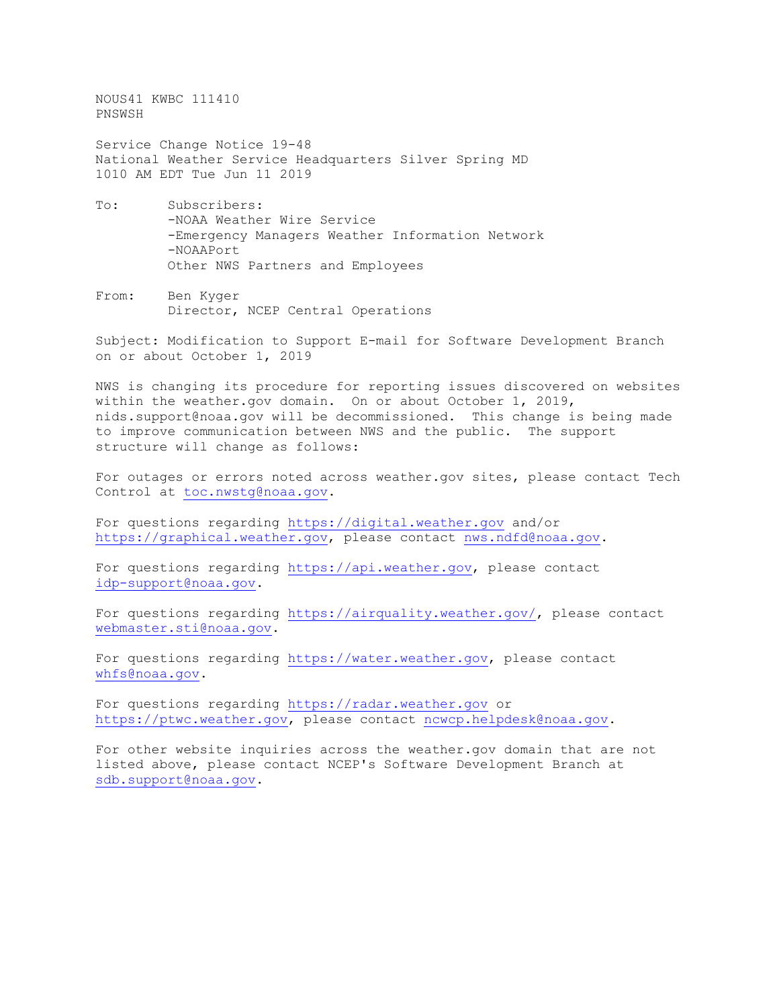NOUS41 KWBC 111410 PNSWSH

Service Change Notice 19-48 National Weather Service Headquarters Silver Spring MD 1010 AM EDT Tue Jun 11 2019

- To: Subscribers: -NOAA Weather Wire Service -Emergency Managers Weather Information Network -NOAAPort Other NWS Partners and Employees
- From: Ben Kyger Director, NCEP Central Operations

Subject: Modification to Support E-mail for Software Development Branch on or about October 1, 2019

NWS is changing its procedure for reporting issues discovered on websites within the weather.gov domain. On or about October 1, 2019, nids.support@noaa.gov will be decommissioned. This change is being made to improve communication between NWS and the public. The support structure will change as follows:

For outages or errors noted across weather.gov sites, please contact Tech Control at [toc.nwstg@noaa.gov.](mailto:toc.nwstg@noaa.gov)

For questions regarding [https://digital.weather.gov](https://digital.weather.gov/) and/or [https://graphical.weather.gov,](https://graphical.weather.gov/) please contact [nws.ndfd@noaa.gov.](mailto:nws.ndfd@noaa.gov)

For questions regarding [https://api.weather.gov,](https://api.weather.gov/) please contact [idp-support@noaa.gov.](mailto:idp-support@noaa.gov)

For questions regarding [https://airquality.weather.gov/,](https://airquality.weather.gov/) please contact [webmaster.sti@noaa.gov.](mailto:webmaster.sti@noaa.gov)

For questions regarding [https://water.weather.gov,](https://water.weather.gov/) please contact [whfs@noaa.gov.](mailto:whfs@noaa.gov)

For questions regarding [https://radar.weather.gov](https://radar.weather.gov/) or [https://ptwc.weather.gov,](https://ptwc.weather.gov/) please contact [ncwcp.helpdesk@noaa.gov.](mailto:ncwcp.helpdesk@noaa.gov)

For other website inquiries across the weather.gov domain that are not listed above, please contact NCEP's Software Development Branch at [sdb.support@noaa.gov.](mailto:sdb.support@noaa.gov)